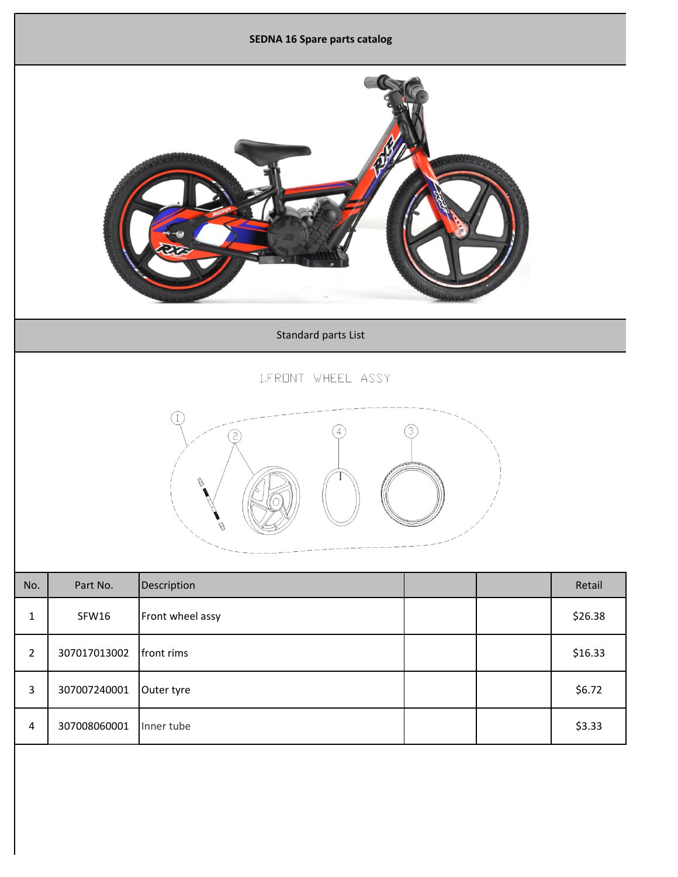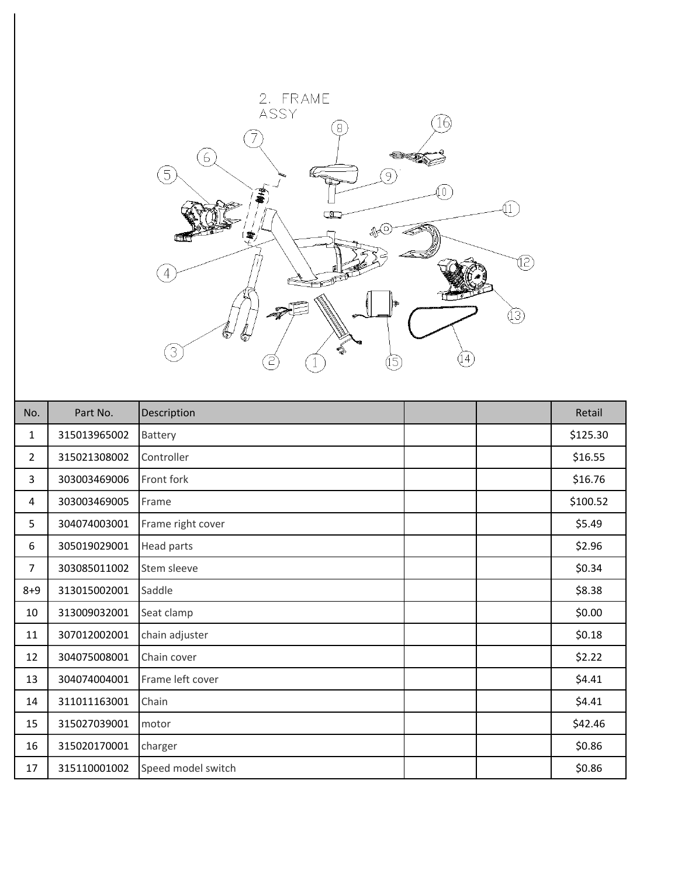

| No.            | Part No.     | Description        |  | Retail   |
|----------------|--------------|--------------------|--|----------|
| 1              | 315013965002 | Battery            |  | \$125.30 |
| $\overline{2}$ | 315021308002 | Controller         |  | \$16.55  |
| 3              | 303003469006 | Front fork         |  | \$16.76  |
| 4              | 303003469005 | Frame              |  | \$100.52 |
| 5              | 304074003001 | Frame right cover  |  | \$5.49   |
| 6              | 305019029001 | Head parts         |  | \$2.96   |
| $\overline{7}$ | 303085011002 | Stem sleeve        |  | \$0.34   |
| $8 + 9$        | 313015002001 | Saddle             |  | \$8.38   |
| 10             | 313009032001 | Seat clamp         |  | \$0.00   |
| 11             | 307012002001 | chain adjuster     |  | \$0.18   |
| 12             | 304075008001 | Chain cover        |  | \$2.22   |
| 13             | 304074004001 | Frame left cover   |  | \$4.41   |
| 14             | 311011163001 | Chain              |  | \$4.41   |
| 15             | 315027039001 | motor              |  | \$42.46  |
| 16             | 315020170001 | charger            |  | \$0.86   |
| 17             | 315110001002 | Speed model switch |  | \$0.86   |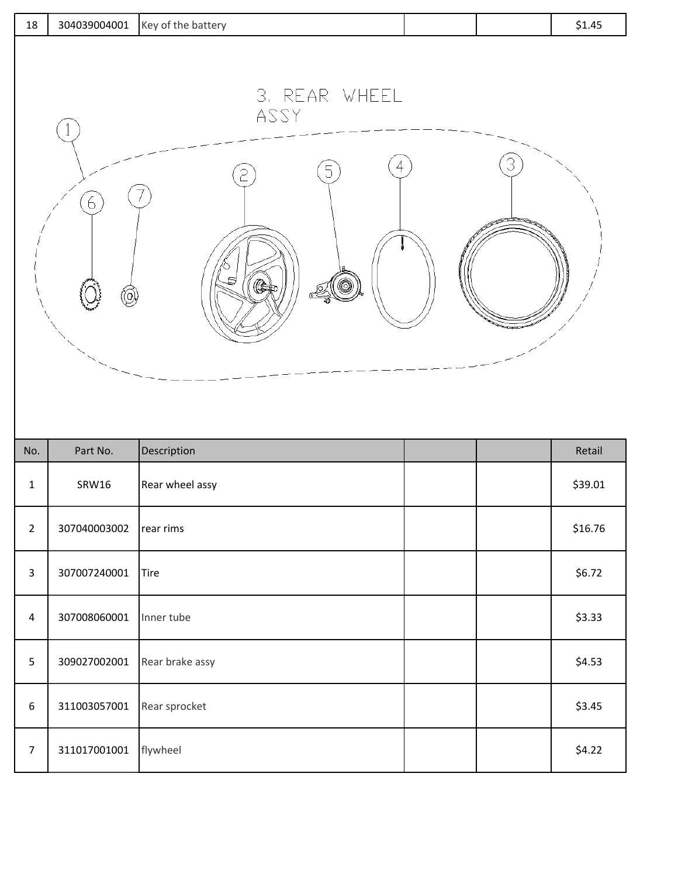| 3. REAR WHEEL<br>ASSY<br>4<br>5<br>6<br>₫<br>(C)<br>. (@)<br>$\textcircled{\scriptsize 0}$ | 18 | Key of the battery<br>304039004001 |  | \$1.45 |
|--------------------------------------------------------------------------------------------|----|------------------------------------|--|--------|
|                                                                                            |    |                                    |  |        |

| No.            | Part No.     | Description     |  | Retail  |
|----------------|--------------|-----------------|--|---------|
| 1              | <b>SRW16</b> | Rear wheel assy |  | \$39.01 |
| $\overline{2}$ | 307040003002 | rear rims       |  | \$16.76 |
| 3              | 307007240001 | Tire            |  | \$6.72  |
| $\overline{4}$ | 307008060001 | Inner tube      |  | \$3.33  |
| 5              | 309027002001 | Rear brake assy |  | \$4.53  |
| 6              | 311003057001 | Rear sprocket   |  | \$3.45  |
| 7              | 311017001001 | flywheel        |  | \$4.22  |